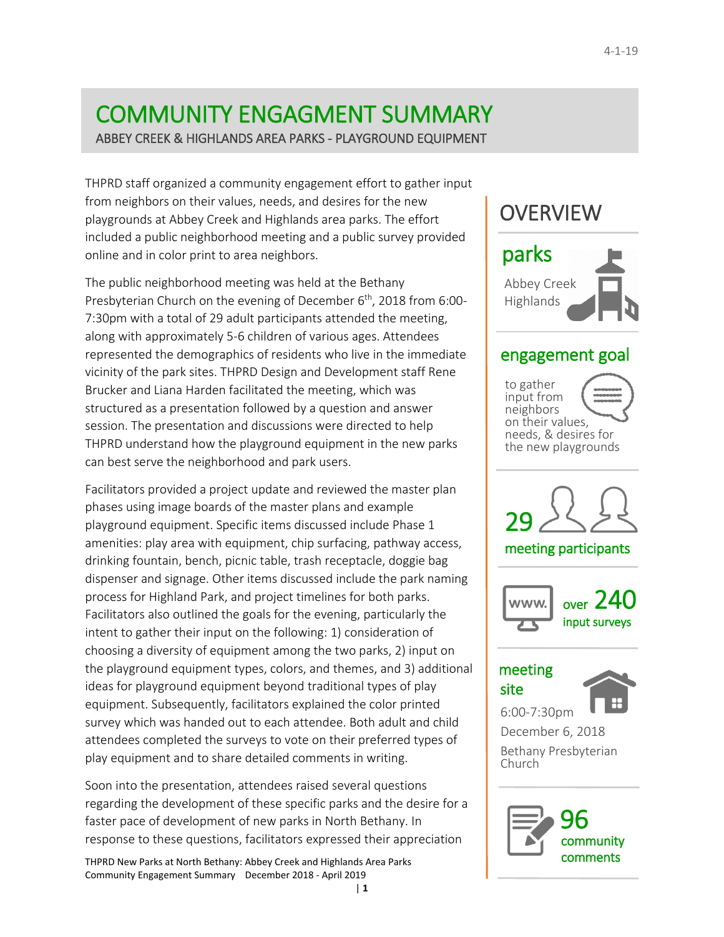# COMMUNITY ENGAGMENT SUMMARY

ABBEY CREEK & HIGHLANDS AREA PARKS - PLAYGROUND EQUIPMENT

THPRD staff organized a community engagement effort to gather input from neighbors on their values, needs, and desires for the new playgrounds at Abbey Creek and Highlands area parks. The effort included a public neighborhood meeting and a public survey provided online and in color print to area neighbors.

The public neighborhood meeting was held at the Bethany Presbyterian Church on the evening of December 6<sup>th</sup>, 2018 from 6:00-7:30pm with a total of 29 adult participants attended the meeting, along with approximately 5-6 children of various ages. Attendees represented the demographics of residents who live in the immediate vicinity of the park sites. THPRD Design and Development staff Rene Brucker and Liana Harden facilitated the meeting, which was structured as a presentation followed by a question and answer session. The presentation and discussions were directed to help THPRD understand how the playground equipment in the new parks can best serve the neighborhood and park users.

Facilitators provided a project update and reviewed the master plan phases using image boards of the master plans and example playground equipment. Specific items discussed include Phase 1 amenities: play area with equipment, chip surfacing, pathway access, drinking fountain, bench, picnic table, trash receptacle, doggie bag dispenser and signage. Other items discussed include the park naming process for Highland Park, and project timelines for both parks. Facilitators also outlined the goals for the evening, particularly the intent to gather their input on the following: 1) consideration of choosing a diversity of equipment among the two parks, 2) input on the playground equipment types, colors, and themes, and 3) additional ideas for playground equipment beyond traditional types of play equipment. Subsequently, facilitators explained the color printed survey which was handed out to each attendee. Both adult and child attendees completed the surveys to vote on their preferred types of play equipment and to share detailed comments in writing.

Soon into the presentation, attendees raised several questions regarding the development of these specific parks and the desire for a faster pace of development of new parks in North Bethany. In response to these questions, facilitators expressed their appreciation

| **1**

THPRD New Parks at North Bethany: Abbey Creek and Highlands Area Parks Community Engagement Summary December 2018 - April 2019

## **OVERVIEW**



### engagement goal

to gather input from neighbors on their values, needs, & desires for the new playgrounds

29

meeting participants





## meeting site



6:00-7:30pm December 6, 2018 Bethany Presbyterian Church

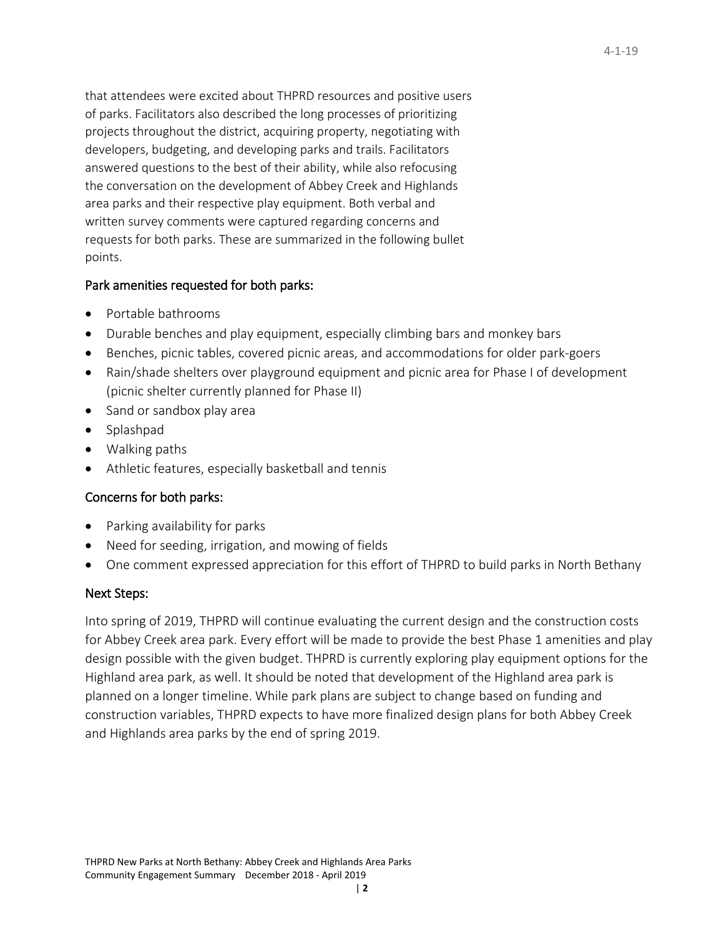that attendees were excited about THPRD resources and positive users of parks. Facilitators also described the long processes of prioritizing projects throughout the district, acquiring property, negotiating with developers, budgeting, and developing parks and trails. Facilitators answered questions to the best of their ability, while also refocusing the conversation on the development of Abbey Creek and Highlands area parks and their respective play equipment. Both verbal and written survey comments were captured regarding concerns and requests for both parks. These are summarized in the following bullet points.

#### Park amenities requested for both parks:

- Portable bathrooms
- Durable benches and play equipment, especially climbing bars and monkey bars
- Benches, picnic tables, covered picnic areas, and accommodations for older park-goers
- Rain/shade shelters over playground equipment and picnic area for Phase I of development (picnic shelter currently planned for Phase II)
- Sand or sandbox play area
- Splashpad
- Walking paths
- Athletic features, especially basketball and tennis

#### Concerns for both parks:

- Parking availability for parks
- Need for seeding, irrigation, and mowing of fields
- One comment expressed appreciation for this effort of THPRD to build parks in North Bethany

#### Next Steps:

Into spring of 2019, THPRD will continue evaluating the current design and the construction costs for Abbey Creek area park. Every effort will be made to provide the best Phase 1 amenities and play design possible with the given budget. THPRD is currently exploring play equipment options for the Highland area park, as well. It should be noted that development of the Highland area park is planned on a longer timeline. While park plans are subject to change based on funding and construction variables, THPRD expects to have more finalized design plans for both Abbey Creek and Highlands area parks by the end of spring 2019.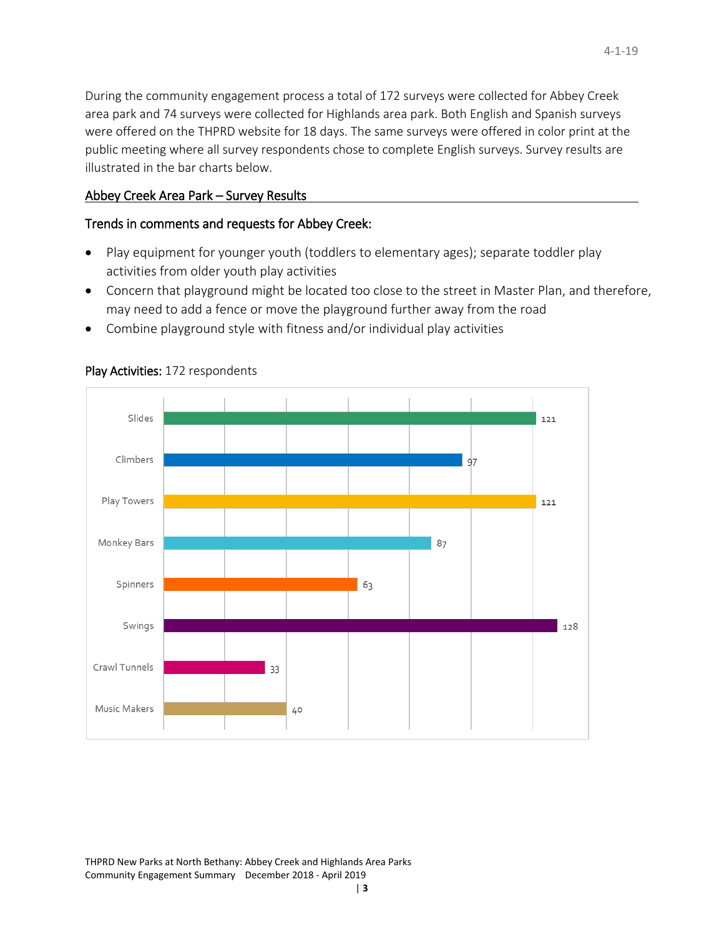During the community engagement process a total of 172 surveys were collected for Abbey Creek area park and 74 surveys were collected for Highlands area park. Both English and Spanish surveys were offered on the THPRD website for 18 days. The same surveys were offered in color print at the public meeting where all survey respondents chose to complete English surveys. Survey results are illustrated in the bar charts below.

#### Abbey Creek Area Park – Survey Results

#### Trends in comments and requests for Abbey Creek:

- Play equipment for younger youth (toddlers to elementary ages); separate toddler play activities from older youth play activities
- Concern that playground might be located too close to the street in Master Plan, and therefore, may need to add a fence or move the playground further away from the road
- Combine playground style with fitness and/or individual play activities



#### Play Activities: 172 respondents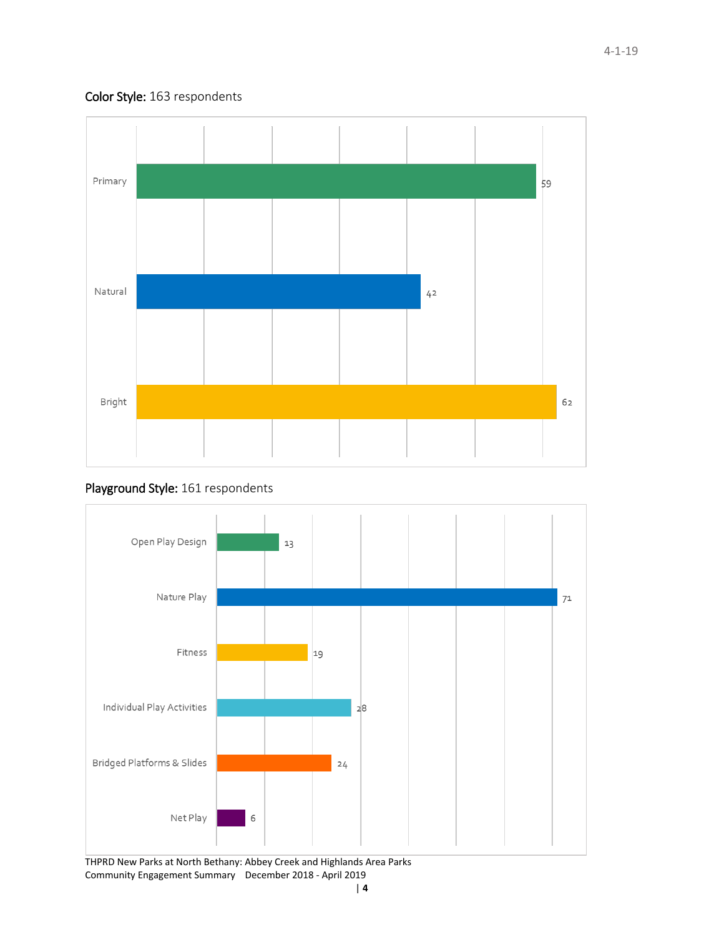#### Color Style: 163 respondents



#### Playground Style: 161 respondents

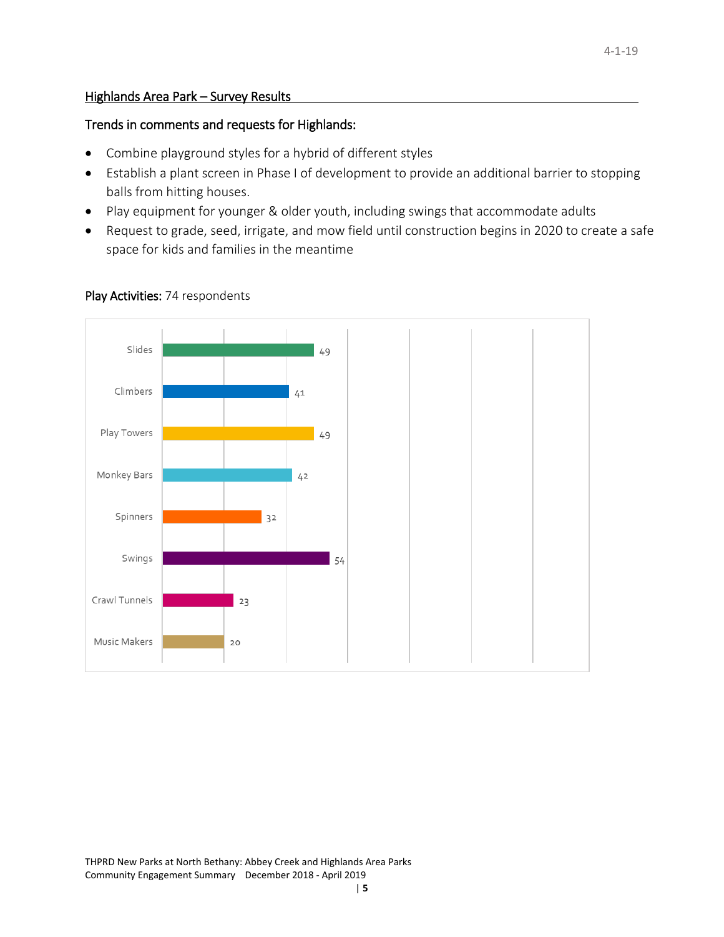#### Highlands Area Park – Survey Results

#### Trends in comments and requests for Highlands:

- Combine playground styles for a hybrid of different styles
- Establish a plant screen in Phase I of development to provide an additional barrier to stopping balls from hitting houses.
- Play equipment for younger & older youth, including swings that accommodate adults
- Request to grade, seed, irrigate, and mow field until construction begins in 2020 to create a safe space for kids and families in the meantime



#### Play Activities: 74 respondents